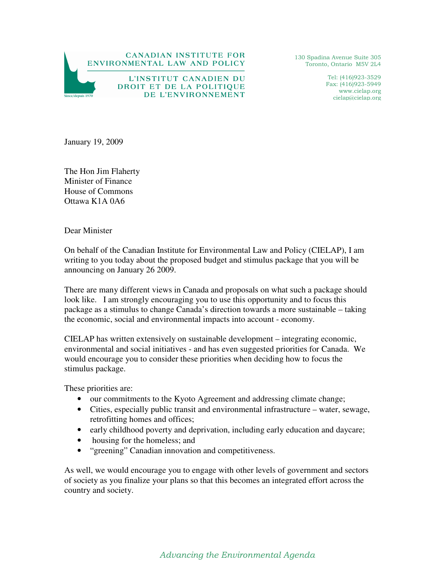

130 Spadina Avenue Suite 305 Toronto, Ontario M5V 2L4

> Tel: (416)923-3529 Fax: (416)923-5949 www.cielap.org cielap@cielap.org

January 19, 2009

The Hon Jim Flaherty Minister of Finance House of Commons Ottawa K1A 0A6

Dear Minister

On behalf of the Canadian Institute for Environmental Law and Policy (CIELAP), I am writing to you today about the proposed budget and stimulus package that you will be announcing on January 26 2009.

There are many different views in Canada and proposals on what such a package should look like. I am strongly encouraging you to use this opportunity and to focus this package as a stimulus to change Canada's direction towards a more sustainable – taking the economic, social and environmental impacts into account - economy.

CIELAP has written extensively on sustainable development – integrating economic, environmental and social initiatives - and has even suggested priorities for Canada. We would encourage you to consider these priorities when deciding how to focus the stimulus package.

These priorities are:

- our commitments to the Kyoto Agreement and addressing climate change;
- Cities, especially public transit and environmental infrastructure water, sewage, retrofitting homes and offices;
- early childhood poverty and deprivation, including early education and daycare;
- housing for the homeless; and
- "greening" Canadian innovation and competitiveness.

As well, we would encourage you to engage with other levels of government and sectors of society as you finalize your plans so that this becomes an integrated effort across the country and society.